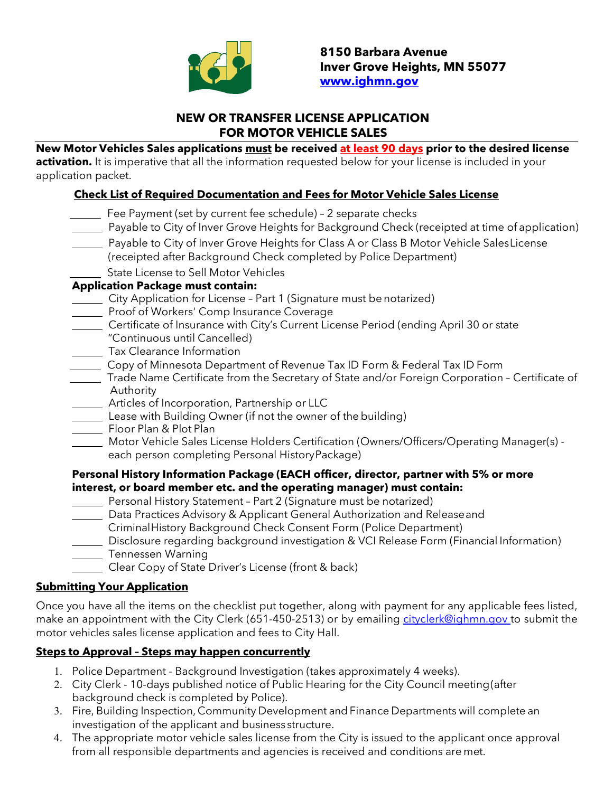

### **NEW OR TRANSFER LICENSE APPLICATION FOR MOTOR VEHICLE SALES**

**New Motor Vehicles Sales applications must be received at least 90 days prior to the desired license** 

**activation.** It is imperative that all the information requested below for your license is included in your application packet.

### **Check List of Required Documentation and Fees for Motor Vehicle Sales License**

- Fee Payment (set by current fee schedule) 2 separate checks Payable to City of Inver Grove Heights for Background Check (receipted at time of application) Payable to City of Inver Grove Heights for Class A or Class B Motor Vehicle SalesLicense (receipted after Background Check completed by Police Department) State License to Sell Motor Vehicles **Application Package must contain:** City Application for License - Part 1 (Signature must be notarized) **Proof of Workers' Comp Insurance Coverage** Certificate of Insurance with City's Current License Period (ending April 30 or state "Continuous until Cancelled) **Tax Clearance Information** Copy of Minnesota Department of Revenue Tax ID Form & Federal Tax ID Form Trade Name Certificate from the Secretary of State and/or Foreign Corporation - Certificate of Authority **Example 2** Articles of Incorporation, Partnership or LLC Lease with Building Owner (if not the owner of the building) Floor Plan & Plot Plan Motor Vehicle Sales License Holders Certification (Owners/Officers/Operating Manager(s) each person completing Personal HistoryPackage) **Personal History Information Package (EACH officer, director, partner with 5% or more interest, or board member etc. and the operating manager) must contain:** Personal History Statement – Part 2 (Signature must be notarized) Data Practices Advisory & Applicant General Authorization and Releaseand CriminalHistory Background Check Consent Form (Police Department) Disclosure regarding background investigation & VCI Release Form (Financial Information) **Tennessen Warning** 
	- Clear Copy of State Driver's License (front & back)

### **Submitting Your Application**

Once you have all the items on the checklist put together, along with payment for any applicable fees listed, make an appointment with the City Clerk (651-450-2513) or by emailing [cityclerk@ighmn.gov t](mailto:cityclerk@ighmn.gov)o submit the motor vehicles sales license application and fees to City Hall.

# **Steps to Approval – Steps may happen concurrently**

- 1. Police Department Background Investigation (takes approximately 4 weeks).
- 2. City Clerk 10-days published notice of Public Hearing for the City Council meeting(after background check is completed by Police).
- 3. Fire, Building Inspection, Community Development and Finance Departments will complete an investigation of the applicant and business structure.
- 4. The appropriate motor vehicle sales license from the City is issued to the applicant once approval from all responsible departments and agencies is received and conditions are met.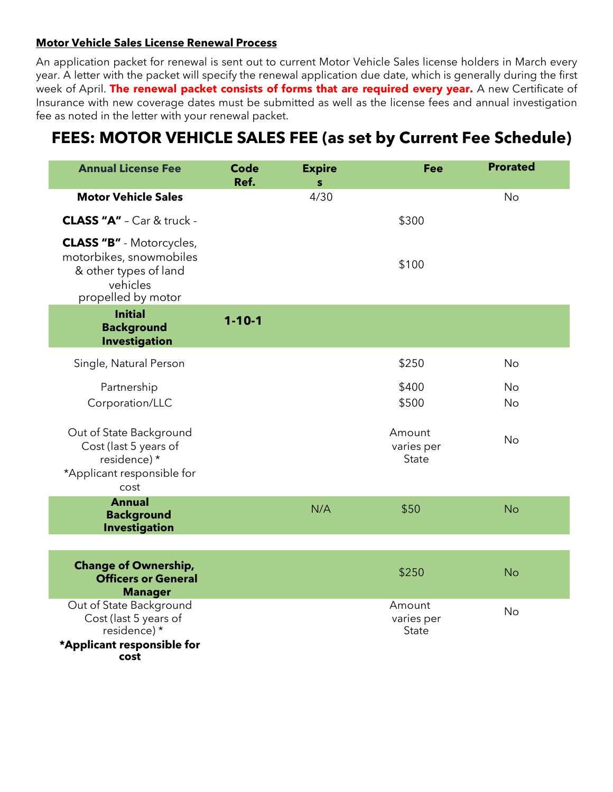#### **Motor Vehicle Sales License Renewal Process**

An application packet for renewal is sent out to current Motor Vehicle Sales license holders in March every year. A letter with the packet will specify the renewal application due date, which is generally during the first week of April. **The renewal packet consists of forms that are required every year.** A new Certificate of Insurance with new coverage dates must be submitted as well as the license fees and annual investigation fee as noted in the letter with your renewal packet.

# **FEES: MOTOR VEHICLE SALES FEE (as set by Current Fee Schedule)**

| <b>Annual License Fee</b>                                                                                             | <b>Code</b><br>Ref. | <b>Expire</b><br>s | Fee                           | <b>Prorated</b> |
|-----------------------------------------------------------------------------------------------------------------------|---------------------|--------------------|-------------------------------|-----------------|
| <b>Motor Vehicle Sales</b>                                                                                            |                     | 4/30               |                               | <b>No</b>       |
| <b>CLASS "A"</b> - Car & truck -                                                                                      |                     |                    | \$300                         |                 |
| <b>CLASS "B"</b> - Motorcycles,<br>motorbikes, snowmobiles<br>& other types of land<br>vehicles<br>propelled by motor |                     |                    | \$100                         |                 |
| <b>Initial</b><br><b>Background</b><br><b>Investigation</b>                                                           | $1 - 10 - 1$        |                    |                               |                 |
| Single, Natural Person                                                                                                |                     |                    | \$250                         | No              |
| Partnership<br>Corporation/LLC                                                                                        |                     |                    | \$400<br>\$500                | No<br>No        |
| Out of State Background<br>Cost (last 5 years of<br>residence) *<br>*Applicant responsible for<br>cost                |                     |                    | Amount<br>varies per<br>State | No              |
| <b>Annual</b><br><b>Background</b><br><b>Investigation</b>                                                            |                     | N/A                | \$50                          | <b>No</b>       |
| <b>Change of Ownership,</b><br><b>Officers or General</b><br><b>Manager</b>                                           |                     |                    | \$250                         | <b>No</b>       |
| Out of State Background<br>Cost (last 5 years of<br>residence) *<br>*Applicant responsible for<br>cost                |                     |                    | Amount<br>varies per<br>State | <b>No</b>       |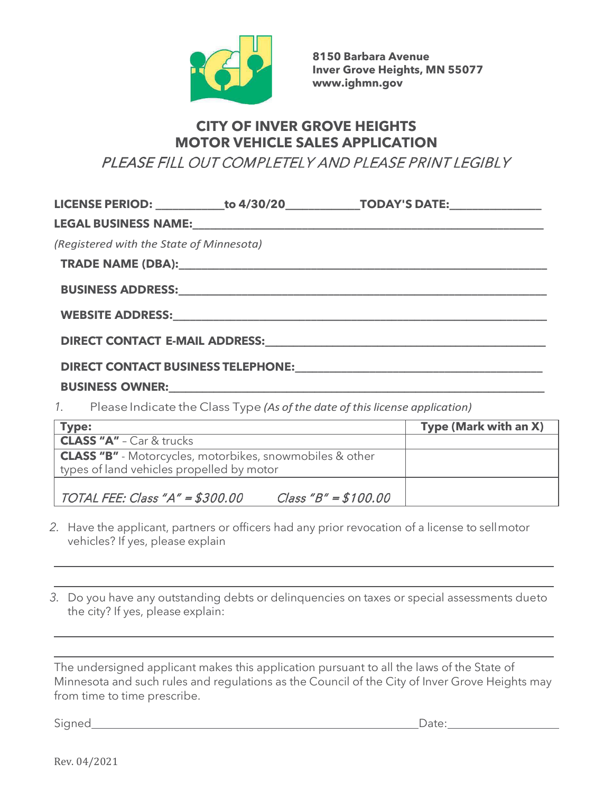

**8150 Barbara Avenue Inver Grove Heights, MN 55077 [www.ighmn.gov](http://www.ighmn.gov/)**

# **CITY OF INVER GROVE HEIGHTS MOTOR VEHICLE SALES APPLICATION**

PLEASE FILL OUT COMPLETELY AND PLEASE PRINT LEGIBLY

| (Registered with the State of Minnesota)  |                                                                                                                                                                                                                               |                       |
|-------------------------------------------|-------------------------------------------------------------------------------------------------------------------------------------------------------------------------------------------------------------------------------|-----------------------|
|                                           |                                                                                                                                                                                                                               |                       |
|                                           |                                                                                                                                                                                                                               |                       |
|                                           |                                                                                                                                                                                                                               |                       |
|                                           | DIRECT CONTACT E-MAIL ADDRESS: University of the contract of the state of the contract of the contract of the contract of the contract of the contract of the contract of the contract of the contract of the contract of the |                       |
|                                           |                                                                                                                                                                                                                               |                       |
|                                           |                                                                                                                                                                                                                               |                       |
|                                           | 1. Please Indicate the Class Type (As of the date of this license application)                                                                                                                                                |                       |
| <b>Type:</b>                              | <u> Alexandria de la construcción de la construcción de la construcción de la construcción de la construcción de l</u>                                                                                                        | Type (Mark with an X) |
| <b>CLASS "A"</b> - Car & trucks           |                                                                                                                                                                                                                               |                       |
| types of land vehicles propelled by motor | <b>CLASS "B"</b> - Motorcycles, motorbikes, snowmobiles & other                                                                                                                                                               |                       |

TOTAL FEE: Class "A" =  $$300.00$  Class "B" =  $$100.00$ 

- *2.* Have the applicant, partners or officers had any prior revocation of a license to sellmotor vehicles? If yes, please explain
- *3.* Do you have any outstanding debts or delinquencies on taxes or special assessments dueto the city? If yes, please explain:

The undersigned applicant makes this application pursuant to all the laws of the State of Minnesota and such rules and regulations as the Council of the City of Inver Grove Heights may from time to time prescribe.

Signed Date:

Rev. 04/2021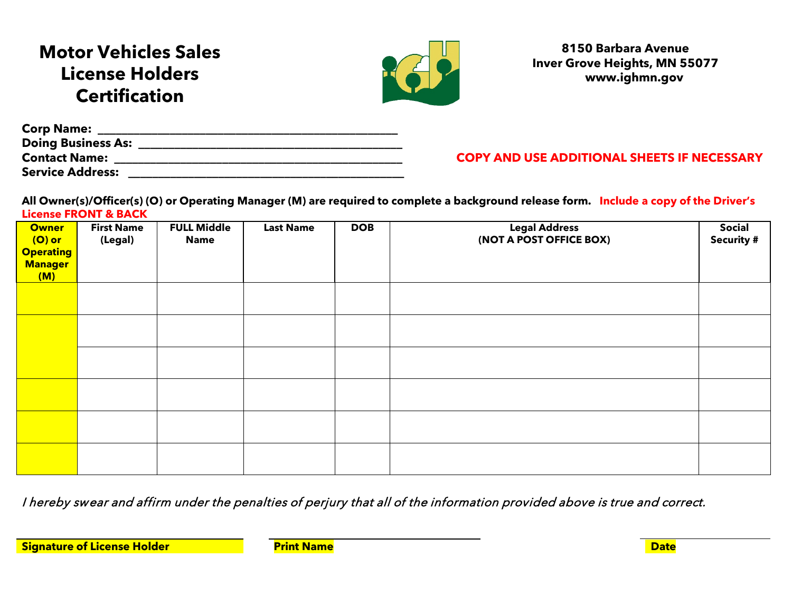# **Motor Vehicles Sales License Holders Certification**



## **8150 Barbara Avenue Inver Grove Heights, MN 55077 www.ighmn.gov**

| <b>Corp Name:</b>         |            |
|---------------------------|------------|
| <b>Doing Business As:</b> |            |
| <b>Contact Name:</b>      | <b>COP</b> |
| Service Address:          |            |

**COPY AND USE ADDITIONAL SHEETS IF NECESSARY** 

**All Owner(s)/Officer(s) (O) or Operating Manager (M) are required to complete a background release form. Include a copy of the Driver's License FRONT & BACK**

| <b>Owner</b><br>$(O)$ or<br><b>Operating</b><br><b>Manager</b><br>(M) | <b>First Name</b><br>(Legal) | <b>FULL Middle</b><br><b>Name</b> | <b>Last Name</b> | <b>DOB</b> | <b>Legal Address</b><br>(NOT A POST OFFICE BOX) | <b>Social</b><br><b>Security #</b> |
|-----------------------------------------------------------------------|------------------------------|-----------------------------------|------------------|------------|-------------------------------------------------|------------------------------------|
|                                                                       |                              |                                   |                  |            |                                                 |                                    |
|                                                                       |                              |                                   |                  |            |                                                 |                                    |
|                                                                       |                              |                                   |                  |            |                                                 |                                    |
|                                                                       |                              |                                   |                  |            |                                                 |                                    |
|                                                                       |                              |                                   |                  |            |                                                 |                                    |
|                                                                       |                              |                                   |                  |            |                                                 |                                    |

I hereby swear and affirm under the penalties of perjury that all of the information provided above is true and correct.

**Signature of License Holder The Print Name Construction of License Holder Construction of Date**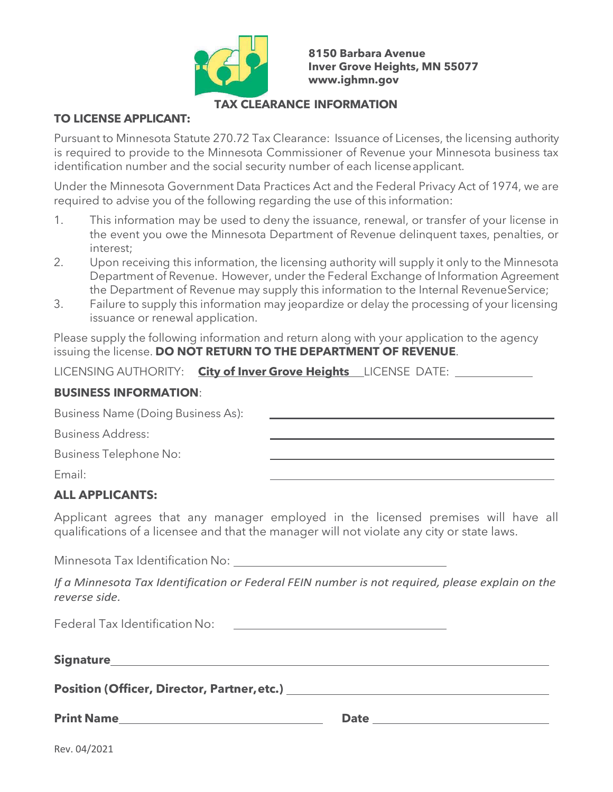

**8150 Barbara Avenue Inver Grove Heights, MN 55077 [www.ighmn.gov](http://www.ighmn.gov/)**

#### **TAX CLEARANCE INFORMATION**

#### **TO LICENSE APPLICANT:**

Pursuant to Minnesota Statute 270.72 Tax Clearance: Issuance of Licenses, the licensing authority is required to provide to the Minnesota Commissioner of Revenue your Minnesota business tax identification number and the social security number of each licenseapplicant.

Under the Minnesota Government Data Practices Act and the Federal Privacy Act of 1974, we are required to advise you of the following regarding the use of this information:

- 1. This information may be used to deny the issuance, renewal, or transfer of your license in the event you owe the Minnesota Department of Revenue delinquent taxes, penalties, or interest;
- 2. Upon receiving this information, the licensing authority will supply it only to the Minnesota Department of Revenue. However, under the Federal Exchange of Information Agreement the Department of Revenue may supply this information to the Internal RevenueService;
- 3. Failure to supply this information may jeopardize or delay the processing of your licensing issuance or renewal application.

Please supply the following information and return along with your application to the agency issuing the license. **DO NOT RETURN TO THE DEPARTMENT OF REVENUE**.

LICENSING AUTHORITY: **City of Inver Grove Heights** LICENSE DATE:

#### **BUSINESS INFORMATION**:

| Business Name (Doing Business As): |  |
|------------------------------------|--|
| <b>Business Address:</b>           |  |
| Business Telephone No:             |  |
| Email:                             |  |

# **ALL APPLICANTS:**

Applicant agrees that any manager employed in the licensed premises will have all qualifications of a licensee and that the manager will not violate any city or state laws.

Minnesota Tax Identification No:

*If a Minnesota Tax Identification or Federal FEIN number is not required, please explain on the reverse side.*

Federal Tax Identification No:

| <b>Signature</b> |  |  |
|------------------|--|--|
|                  |  |  |

**Position (Officer, Director, Partner,etc.)**

**Print Name Date Date Date**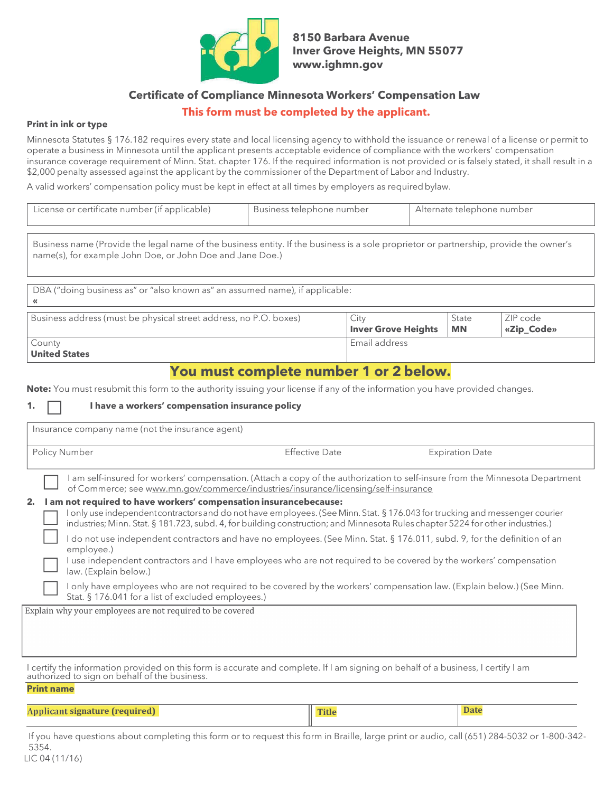

**8150 Barbara Avenue Inver Grove Heights, MN 55077 [www.ighmn.gov](http://www.ighmn.gov/)**

#### **Certificate of Compliance Minnesota Workers' Compensation Law**

#### **This form must be completed by the applicant.**

#### **Print in ink or type**

Minnesota Statutes § 176.182 requires every state and local licensing agency to withhold the issuance or renewal of a license or permit to operate a business in Minnesota until the applicant presents acceptable evidence of compliance with the workers' compensation insurance coverage requirement of Minn. Stat. chapter 176. If the required information is not provided or is falsely stated, it shall result in a \$2,000 penalty assessed against the applicant by the commissioner of the Department of Labor and Industry.

A valid workers' compensation policy must be kept in effect at all times by employers as requiredbylaw.

| License or certificate number (if applicable) | Business telephone number | Alternate telephone number |
|-----------------------------------------------|---------------------------|----------------------------|
|-----------------------------------------------|---------------------------|----------------------------|

Business name (Provide the legal name of the business entity. If the business is a sole proprietor or partnership, provide the owner's name(s), for example John Doe, or John Doe and Jane Doe.)

DBA ("doing business as" or "also known as" an assumed name), if applicable: **«** Business address (must be physical street address, no P.O. boxes) City **Inver Grove Heights** State **MN** ZIP code **«Zip\_Code»** County **United States** Email address

## **You must complete number 1 or 2 below.**

**Note:** You must resubmit this form to the authority issuing your license if any of the information you have provided changes.

#### **1. I have a workers' compensation insurance policy**

| Insurance company name (not the insurance agent)                                                                                                                                                        |                                                                                    |                                                                                                                                                                                                                                                                                                                                                                                              |
|---------------------------------------------------------------------------------------------------------------------------------------------------------------------------------------------------------|------------------------------------------------------------------------------------|----------------------------------------------------------------------------------------------------------------------------------------------------------------------------------------------------------------------------------------------------------------------------------------------------------------------------------------------------------------------------------------------|
| Policy Number                                                                                                                                                                                           | <b>Effective Date</b>                                                              | <b>Expiration Date</b>                                                                                                                                                                                                                                                                                                                                                                       |
| I am not required to have workers' compensation insurancebecause:<br>2.                                                                                                                                 | of Commerce; see www.mn.gov/commerce/industries/insurance/licensing/self-insurance | am self-insured for workers' compensation. (Attach a copy of the authorization to self-insure from the Minnesota Department<br>I only use independent contractors and do not have employees. (See Minn. Stat. § 176.043 for trucking and messenger courier<br>industries; Minn. Stat. § 181.723, subd. 4, for building construction; and Minnesota Rules chapter 5224 for other industries.) |
| employee.)<br>law. (Explain below.)                                                                                                                                                                     |                                                                                    | I do not use independent contractors and have no employees. (See Minn. Stat. § 176.011, subd. 9, for the definition of an<br>I use independent contractors and I have employees who are not required to be covered by the workers' compensation                                                                                                                                              |
| Stat. § 176.041 for a list of excluded employees.)                                                                                                                                                      |                                                                                    | I only have employees who are not required to be covered by the workers' compensation law. (Explain below.) (See Minn.                                                                                                                                                                                                                                                                       |
| Explain why your employees are not required to be covered                                                                                                                                               |                                                                                    |                                                                                                                                                                                                                                                                                                                                                                                              |
| I certify the information provided on this form is accurate and complete. If I am signing on behalf of a business, I certify I am<br>authorized to sign on behalf of the business.<br><b>Print name</b> |                                                                                    |                                                                                                                                                                                                                                                                                                                                                                                              |
| Applicant signature (required)                                                                                                                                                                          | <b>Title</b>                                                                       | <b>Date</b>                                                                                                                                                                                                                                                                                                                                                                                  |

If you have questions about completing this form or to request this form in Braille, large print or audio, call (651) 284-5032 or 1-800-342- 5354.